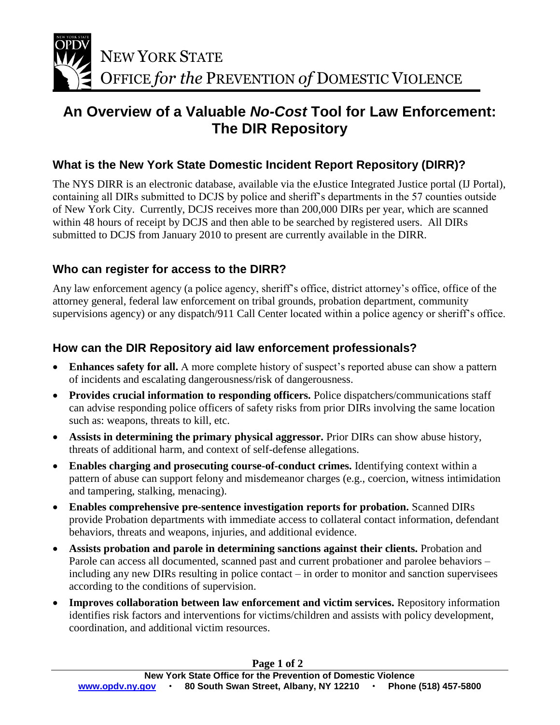

## **An Overview of a Valuable** *No-Cost* **Tool for Law Enforcement: The DIR Repository**

### **What is the New York State Domestic Incident Report Repository (DIRR)?**

The NYS DIRR is an electronic database, available via the eJustice Integrated Justice portal (IJ Portal), containing all DIRs submitted to DCJS by police and sheriff's departments in the 57 counties outside of New York City. Currently, DCJS receives more than 200,000 DIRs per year, which are scanned within 48 hours of receipt by DCJS and then able to be searched by registered users. All DIRs submitted to DCJS from January 2010 to present are currently available in the DIRR.

### **Who can register for access to the DIRR?**

Any law enforcement agency (a police agency, sheriff's office, district attorney's office, office of the attorney general, federal law enforcement on tribal grounds, probation department, community supervisions agency) or any dispatch/911 Call Center located within a police agency or sheriff's office.

### **How can the DIR Repository aid law enforcement professionals?**

- Enhances safety for all. A more complete history of suspect's reported abuse can show a pattern of incidents and escalating dangerousness/risk of dangerousness.
- **Provides crucial information to responding officers.** Police dispatchers/communications staff can advise responding police officers of safety risks from prior DIRs involving the same location such as: weapons, threats to kill, etc.
- **Assists in determining the primary physical aggressor.** Prior DIRs can show abuse history, threats of additional harm, and context of self-defense allegations.
- **Enables charging and prosecuting course-of-conduct crimes.** Identifying context within a pattern of abuse can support felony and misdemeanor charges (e.g., coercion, witness intimidation and tampering, stalking, menacing).
- **Enables comprehensive pre-sentence investigation reports for probation.** Scanned DIRs provide Probation departments with immediate access to collateral contact information, defendant behaviors, threats and weapons, injuries, and additional evidence.
- **Assists probation and parole in determining sanctions against their clients.** Probation and Parole can access all documented, scanned past and current probationer and parolee behaviors – including any new DIRs resulting in police contact – in order to monitor and sanction supervisees according to the conditions of supervision.
- **Improves collaboration between law enforcement and victim services.** Repository information identifies risk factors and interventions for victims/children and assists with policy development, coordination, and additional victim resources.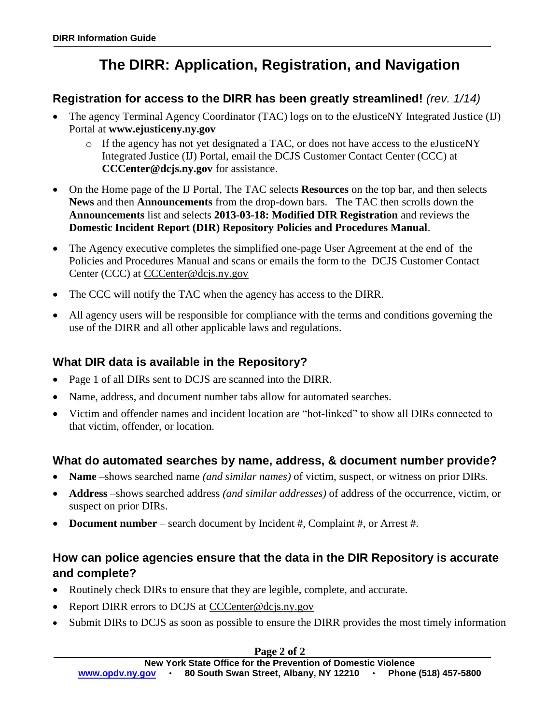# **The DIRR: Application, Registration, and Navigation**

### **Registration for access to the DIRR has been greatly streamlined!** *(rev. 1/14)*

- The agency Terminal Agency Coordinator (TAC) logs on to the eJusticeNY Integrated Justice (IJ) Portal at **www.ejusticeny.ny.gov**
	- $\circ$  If the agency has not yet designated a TAC, or does not have access to the eJusticeNY Integrated Justice (IJ) Portal, email the DCJS Customer Contact Center (CCC) at **[CCCenter@dcjs.ny.gov](mailto:CCCenter@dcjs.ny.gov)** for assistance.
- On the Home page of the IJ Portal, The TAC selects **Resources** on the top bar, and then selects **News** and then **Announcements** from the drop-down bars. The TAC then scrolls down the **Announcements** list and selects **2013-03-18: Modified DIR Registration** and reviews the **Domestic Incident Report (DIR) Repository Policies and Procedures Manual**.
- The Agency executive completes the simplified one-page User Agreement at the end of the Policies and Procedures Manual and scans or emails the form to the DCJS Customer Contact Center (CCC) at [CCCenter@dcjs.ny.gov](mailto:CCCenter@dcjs.ny.gov)
- The CCC will notify the TAC when the agency has access to the DIRR.
- All agency users will be responsible for compliance with the terms and conditions governing the use of the DIRR and all other applicable laws and regulations.

### **What DIR data is available in the Repository?**

- Page 1 of all DIRs sent to DCJS are scanned into the DIRR.
- Name, address, and document number tabs allow for automated searches.
- Victim and offender names and incident location are "hot-linked" to show all DIRs connected to that victim, offender, or location.

### **What do automated searches by name, address, & document number provide?**

- **Name** –shows searched name *(and similar names)* of victim, suspect, or witness on prior DIRs.
- **Address** –shows searched address *(and similar addresses)* of address of the occurrence, victim, or suspect on prior DIRs.
- **Document number**  search document by Incident #, Complaint #, or Arrest #.

### **How can police agencies ensure that the data in the DIR Repository is accurate and complete?**

- Routinely check DIRs to ensure that they are legible, complete, and accurate.
- Report DIRR errors to DCJS at [CCCenter@dcjs.ny.gov](mailto:CCCenter@dcjs.ny.gov)
- Submit DIRs to DCJS as soon as possible to ensure the DIRR provides the most timely information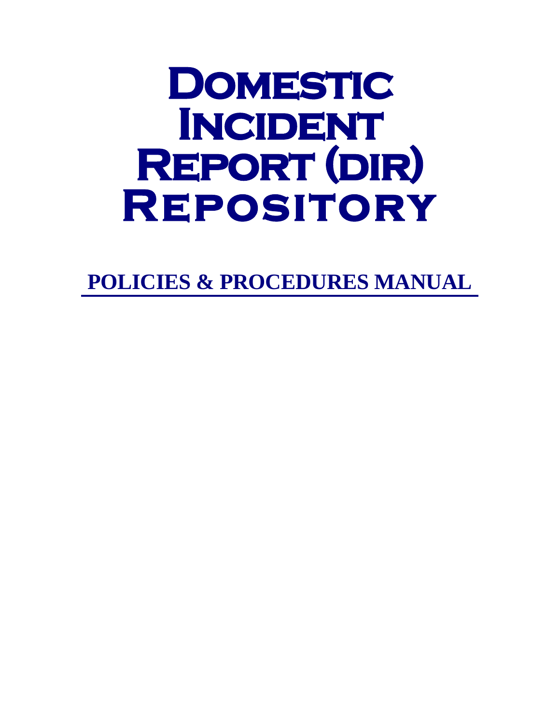# **DOMESTIC<br>INCIDENT<br>REPORT (DIR)<br>REPOSITORY**

**POLICIES & PROCEDURES MANUAL**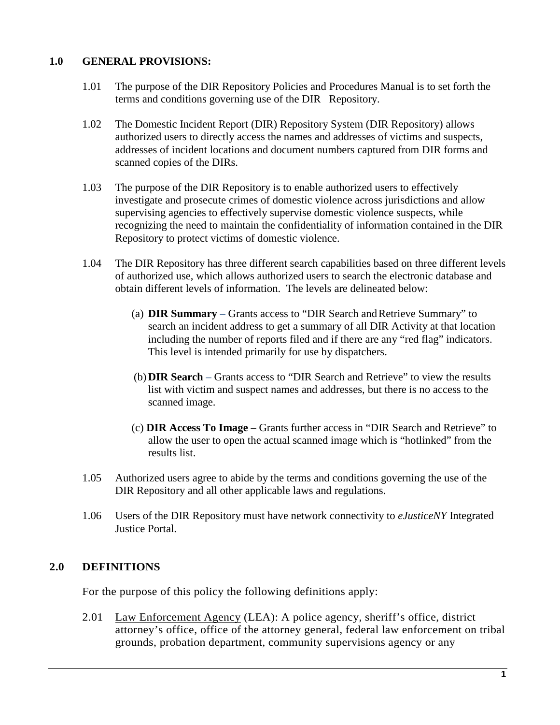### **1.0 GENERAL PROVISIONS:**

- 1.01 The purpose of the DIR Repository Policies and Procedures Manual is to set forth the terms and conditions governing use of the DIR Repository.
- 1.02 The Domestic Incident Report (DIR) Repository System (DIR Repository) allows authorized users to directly access the names and addresses of victims and suspects, addresses of incident locations and document numbers captured from DIR forms and scanned copies of the DIRs.
- 1.03 The purpose of the DIR Repository is to enable authorized users to effectively investigate and prosecute crimes of domestic violence across jurisdictions and allow supervising agencies to effectively supervise domestic violence suspects, while recognizing the need to maintain the confidentiality of information contained in the DIR Repository to protect victims of domestic violence.
- 1.04 The DIR Repository has three different search capabilities based on three different levels of authorized use, which allows authorized users to search the electronic database and obtain different levels of information. The levels are delineated below:
	- (a) **DIR Summary** Grants access to "DIR Search andRetrieve Summary" to search an incident address to get a summary of all DIR Activity at that location including the number of reports filed and if there are any "red flag" indicators. This level is intended primarily for use by dispatchers.
	- (b) **DIR Search** Grants access to "DIR Search and Retrieve" to view the results list with victim and suspect names and addresses, but there is no access to the scanned image.
	- (c) **DIR Access To Image** Grants further access in "DIR Search and Retrieve" to allow the user to open the actual scanned image which is "hotlinked" from the results list.
- 1.05 Authorized users agree to abide by the terms and conditions governing the use of the DIR Repository and all other applicable laws and regulations.
- 1.06 Users of the DIR Repository must have network connectivity to *eJusticeNY* Integrated Justice Portal.

### **2.0 DEFINITIONS**

For the purpose of this policy the following definitions apply:

2.01 Law Enforcement Agency (LEA): A police agency, sheriff's office, district attorney's office, office of the attorney general, federal law enforcement on tribal grounds, probation department, community supervisions agency or any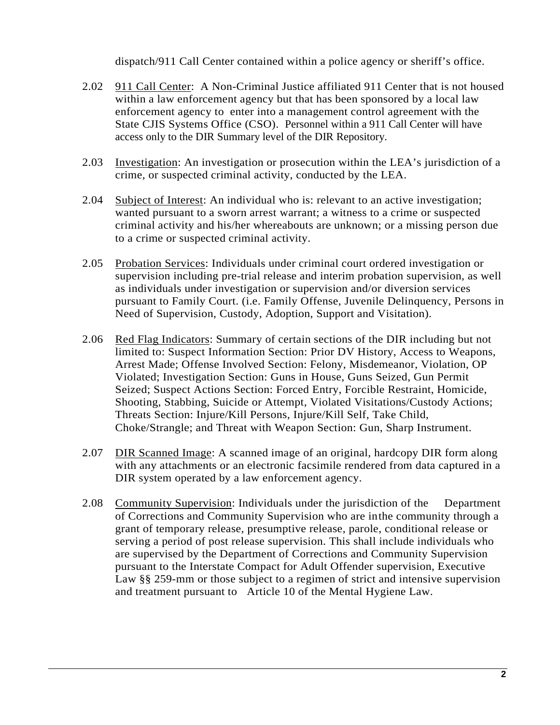dispatch/911 Call Center contained within a police agency or sheriff's office.

- 2.02 911 Call Center: A Non-Criminal Justice affiliated 911 Center that is not housed within a law enforcement agency but that has been sponsored by a local law enforcement agency to enter into a management control agreement with the State CJIS Systems Office (CSO). Personnel within a 911 Call Center will have access only to the DIR Summary level of the DIR Repository.
- 2.03 Investigation: An investigation or prosecution within the LEA's jurisdiction of a crime, or suspected criminal activity, conducted by the LEA.
- 2.04 Subject of Interest: An individual who is: relevant to an active investigation; wanted pursuant to a sworn arrest warrant; a witness to a crime or suspected criminal activity and his/her whereabouts are unknown; or a missing person due to a crime or suspected criminal activity.
- 2.05 Probation Services: Individuals under criminal court ordered investigation or supervision including pre-trial release and interim probation supervision, as well as individuals under investigation or supervision and/or diversion services pursuant to Family Court. (i.e. Family Offense, Juvenile Delinquency, Persons in Need of Supervision, Custody, Adoption, Support and Visitation).
- 2.06 Red Flag Indicators: Summary of certain sections of the DIR including but not limited to: Suspect Information Section: Prior DV History, Access to Weapons, Arrest Made; Offense Involved Section: Felony, Misdemeanor, Violation, OP Violated; Investigation Section: Guns in House, Guns Seized, Gun Permit Seized; Suspect Actions Section: Forced Entry, Forcible Restraint, Homicide, Shooting, Stabbing, Suicide or Attempt, Violated Visitations/Custody Actions; Threats Section: Injure/Kill Persons, Injure/Kill Self, Take Child, Choke/Strangle; and Threat with Weapon Section: Gun, Sharp Instrument.
- 2.07 DIR Scanned Image: A scanned image of an original, hardcopy DIR form along with any attachments or an electronic facsimile rendered from data captured in a DIR system operated by a law enforcement agency.
- 2.08 Community Supervision: Individuals under the jurisdiction of the Department of Corrections and Community Supervision who are inthe community through a grant of temporary release, presumptive release, parole, conditional release or serving a period of post release supervision. This shall include individuals who are supervised by the Department of Corrections and Community Supervision pursuant to the Interstate Compact for Adult Offender supervision, Executive Law §§ 259-mm or those subject to a regimen of strict and intensive supervision and treatment pursuant to Article 10 of the Mental Hygiene Law.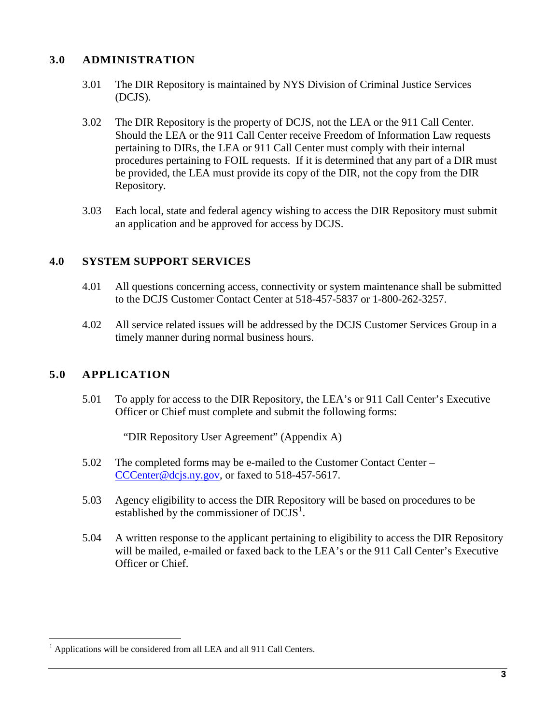### **3.0 ADMINISTRATION**

- 3.01 The DIR Repository is maintained by NYS Division of Criminal Justice Services (DCJS).
- 3.02 The DIR Repository is the property of DCJS, not the LEA or the 911 Call Center. Should the LEA or the 911 Call Center receive Freedom of Information Law requests pertaining to DIRs, the LEA or 911 Call Center must comply with their internal procedures pertaining to FOIL requests. If it is determined that any part of a DIR must be provided, the LEA must provide its copy of the DIR, not the copy from the DIR Repository.
- 3.03 Each local, state and federal agency wishing to access the DIR Repository must submit an application and be approved for access by DCJS.

### **4.0 SYSTEM SUPPORT SERVICES**

- 4.01 All questions concerning access, connectivity or system maintenance shall be submitted to the DCJS Customer Contact Center at 518-457-5837 or 1-800-262-3257.
- 4.02 All service related issues will be addressed by the DCJS Customer Services Group in a timely manner during normal business hours.

### **5.0 APPLICATION**

5.01 To apply for access to the DIR Repository, the LEA's or 911 Call Center's Executive Officer or Chief must complete and submit the following forms:

"DIR Repository User Agreement" (Appendix A)

- 5.02 The completed forms may be e-mailed to the Customer Contact Center [CCCenter@dcjs.ny.gov,](mailto:CCCenter@dcjs.ny.gov) or faxed to 518-457-5617.
- 5.03 Agency eligibility to access the DIR Repository will be based on procedures to be established by the commissioner of  $DCJS<sup>1</sup>$  $DCJS<sup>1</sup>$  $DCJS<sup>1</sup>$ .
- 5.04 A written response to the applicant pertaining to eligibility to access the DIR Repository will be mailed, e-mailed or faxed back to the LEA's or the 911 Call Center's Executive Officer or Chief.

<span id="page-5-0"></span><sup>1</sup> Applications will be considered from all LEA and all 911 Call Centers.  $\overline{a}$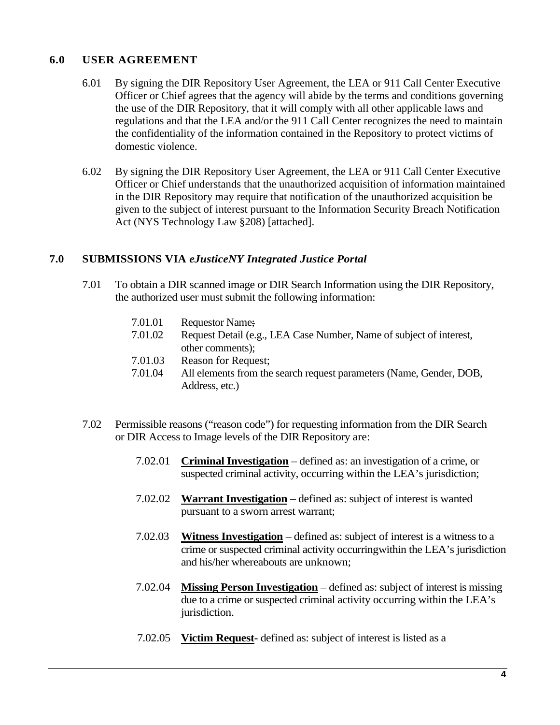### **6.0 USER AGREEMENT**

- 6.01 By signing the DIR Repository User Agreement, the LEA or 911 Call Center Executive Officer or Chief agrees that the agency will abide by the terms and conditions governing the use of the DIR Repository, that it will comply with all other applicable laws and regulations and that the LEA and/or the 911 Call Center recognizes the need to maintain the confidentiality of the information contained in the Repository to protect victims of domestic violence.
- 6.02 By signing the DIR Repository User Agreement, the LEA or 911 Call Center Executive Officer or Chief understands that the unauthorized acquisition of information maintained in the DIR Repository may require that notification of the unauthorized acquisition be given to the subject of interest pursuant to the Information Security Breach Notification Act (NYS Technology Law §208) [attached].

### **7.0 SUBMISSIONS VIA** *eJusticeNY Integrated Justice Portal*

- 7.01 To obtain a DIR scanned image or DIR Search Information using the DIR Repository, the authorized user must submit the following information:
	- 7.01.01 Requestor Name;
	- 7.01.02 Request Detail (e.g., LEA Case Number, Name of subject of interest, other comments);
	- 7.01.03 Reason for Request;
	- 7.01.04 All elements from the search request parameters (Name, Gender, DOB, Address, etc.)
- 7.02 Permissible reasons ("reason code") for requesting information from the DIR Search or DIR Access to Image levels of the DIR Repository are:
	- 7.02.01 **Criminal Investigation** defined as: an investigation of a crime, or suspected criminal activity, occurring within the LEA's jurisdiction;
	- 7.02.02 **Warrant Investigation** defined as: subject of interest is wanted pursuant to a sworn arrest warrant;
	- 7.02.03 **Witness Investigation** defined as: subject of interest is a witness to a crime or suspected criminal activity occurringwithin the LEA's jurisdiction and his/her whereabouts are unknown;
	- 7.02.04 **Missing Person Investigation** defined as: subject of interest is missing due to a crime or suspected criminal activity occurring within the LEA's jurisdiction.
	- 7.02.05 **Victim Request-** defined as: subject of interest is listed as a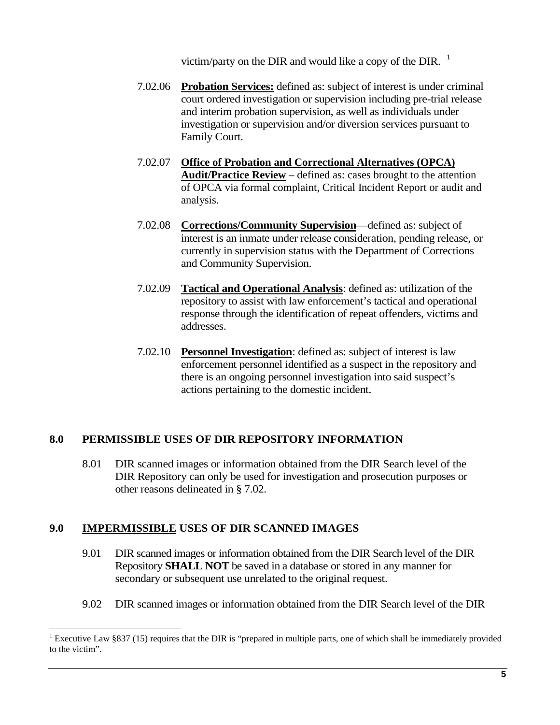victim/party on the DIR and would like a copy of the DIR.  $<sup>1</sup>$ </sup>

- 7.02.06 **Probation Services:** defined as: subject of interest is under criminal court ordered investigation or supervision including pre-trial release and interim probation supervision, as well as individuals under investigation or supervision and/or diversion services pursuant to Family Court.
- 7.02.07 **Office of Probation and Correctional Alternatives (OPCA) Audit/Practice Review** – defined as: cases brought to the attention of OPCA via formal complaint, Critical Incident Report or audit and analysis.
- 7.02.08 **Corrections/Community Supervision**—defined as: subject of interest is an inmate under release consideration, pending release, or currently in supervision status with the Department of Corrections and Community Supervision.
- 7.02.09 **Tactical and Operational Analysis**: defined as: utilization of the repository to assist with law enforcement's tactical and operational response through the identification of repeat offenders, victims and addresses.
- 7.02.10 **Personnel Investigation**: defined as: subject of interest is law enforcement personnel identified as a suspect in the repository and there is an ongoing personnel investigation into said suspect's actions pertaining to the domestic incident.

### **8.0 PERMISSIBLE USES OF DIR REPOSITORY INFORMATION**

8.01 DIR scanned images or information obtained from the DIR Search level of the DIR Repository can only be used for investigation and prosecution purposes or other reasons delineated in § 7.02.

### **9.0 IMPERMISSIBLE USES OF DIR SCANNED IMAGES**

 $\overline{a}$ 

- 9.01 DIR scanned images or information obtained from the DIR Search level of the DIR Repository **SHALL NOT** be saved in a database or stored in any manner for secondary or subsequent use unrelated to the original request.
- 9.02 DIR scanned images or information obtained from the DIR Search level of the DIR

<span id="page-7-0"></span>Executive Law §837 (15) requires that the DIR is "prepared in multiple parts, one of which shall be immediately provided to the victim".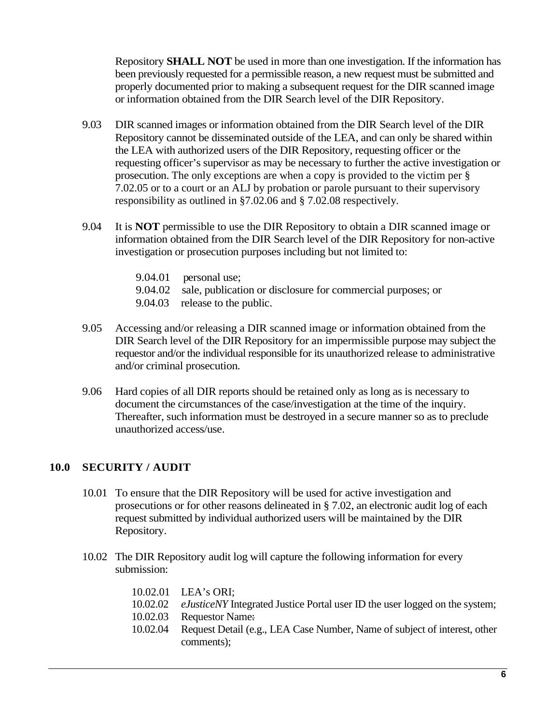Repository **SHALL NOT** be used in more than one investigation. If the information has been previously requested for a permissible reason, a new request must be submitted and properly documented prior to making a subsequent request for the DIR scanned image or information obtained from the DIR Search level of the DIR Repository.

- 9.03 DIR scanned images or information obtained from the DIR Search level of the DIR Repository cannot be disseminated outside of the LEA, and can only be shared within the LEA with authorized users of the DIR Repository, requesting officer or the requesting officer's supervisor as may be necessary to further the active investigation or prosecution. The only exceptions are when a copy is provided to the victim per § 7.02.05 or to a court or an ALJ by probation or parole pursuant to their supervisory responsibility as outlined in §7.02.06 and § 7.02.08 respectively.
- 9.04 It is **NOT** permissible to use the DIR Repository to obtain a DIR scanned image or information obtained from the DIR Search level of the DIR Repository for non-active investigation or prosecution purposes including but not limited to:
	- 9.04.01 personal use; 9.04.02 sale, publication or disclosure for commercial purposes; or 9.04.03 release to the public.
- 9.05 Accessing and/or releasing a DIR scanned image or information obtained from the DIR Search level of the DIR Repository for an impermissible purpose may subject the requestor and/or the individual responsible for its unauthorized release to administrative and/or criminal prosecution.
- 9.06 Hard copies of all DIR reports should be retained only as long as is necessary to document the circumstances of the case/investigation at the time of the inquiry. Thereafter, such information must be destroyed in a secure manner so as to preclude unauthorized access/use.

### **10.0 SECURITY / AUDIT**

- 10.01 To ensure that the DIR Repository will be used for active investigation and prosecutions or for other reasons delineated in § 7.02, an electronic audit log of each request submitted by individual authorized users will be maintained by the DIR Repository.
- 10.02 The DIR Repository audit log will capture the following information for every submission:

|          | 10.02.01 LEA's ORI:                                                                |
|----------|------------------------------------------------------------------------------------|
| 10.02.02 | <i>eJusticeNY</i> Integrated Justice Portal user ID the user logged on the system; |
|          | 10.02.03 Requestor Name:                                                           |
| 10.02.04 | Request Detail (e.g., LEA Case Number, Name of subject of interest, other          |
|          | comments);                                                                         |
|          |                                                                                    |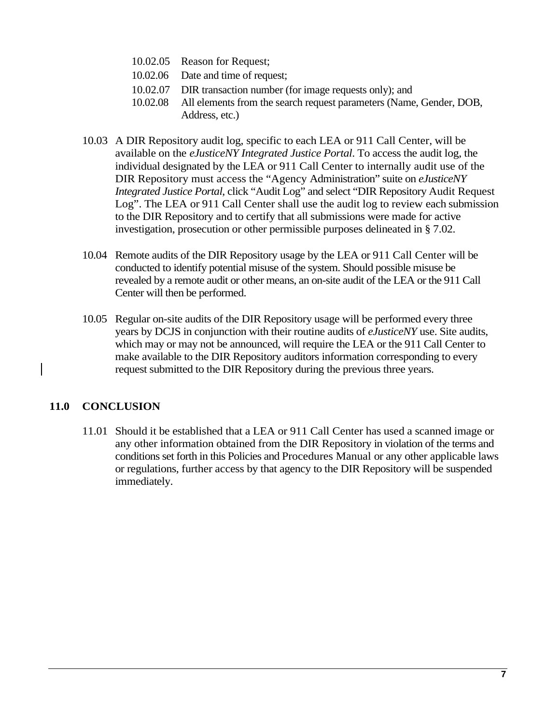- 10.02.05 Reason for Request;
- 10.02.06 Date and time of request;
- 10.02.07 DIR transaction number (for image requests only); and
- 10.02.08 All elements from the search request parameters (Name, Gender, DOB, Address, etc.)
- 10.03 A DIR Repository audit log, specific to each LEA or 911 Call Center, will be available on the *eJusticeNY Integrated Justice Portal*. To access the audit log, the individual designated by the LEA or 911 Call Center to internally audit use of the DIR Repository must access the "Agency Administration" suite on *eJusticeNY Integrated Justice Portal*, click "Audit Log" and select "DIR Repository Audit Request Log". The LEA or 911 Call Center shall use the audit log to review each submission to the DIR Repository and to certify that all submissions were made for active investigation, prosecution or other permissible purposes delineated in § 7.02.
- 10.04 Remote audits of the DIR Repository usage by the LEA or 911 Call Center will be conducted to identify potential misuse of the system. Should possible misuse be revealed by a remote audit or other means, an on-site audit of the LEA or the 911 Call Center will then be performed.
- 10.05 Regular on-site audits of the DIR Repository usage will be performed every three years by DCJS in conjunction with their routine audits of *eJusticeNY* use. Site audits, which may or may not be announced, will require the LEA or the 911 Call Center to make available to the DIR Repository auditors information corresponding to every request submitted to the DIR Repository during the previous three years.

### **11.0 CONCLUSION**

11.01 Should it be established that a LEA or 911 Call Center has used a scanned image or any other information obtained from the DIR Repository in violation of the terms and conditions set forth in this Policies and Procedures Manual or any other applicable laws or regulations, further access by that agency to the DIR Repository will be suspended immediately.